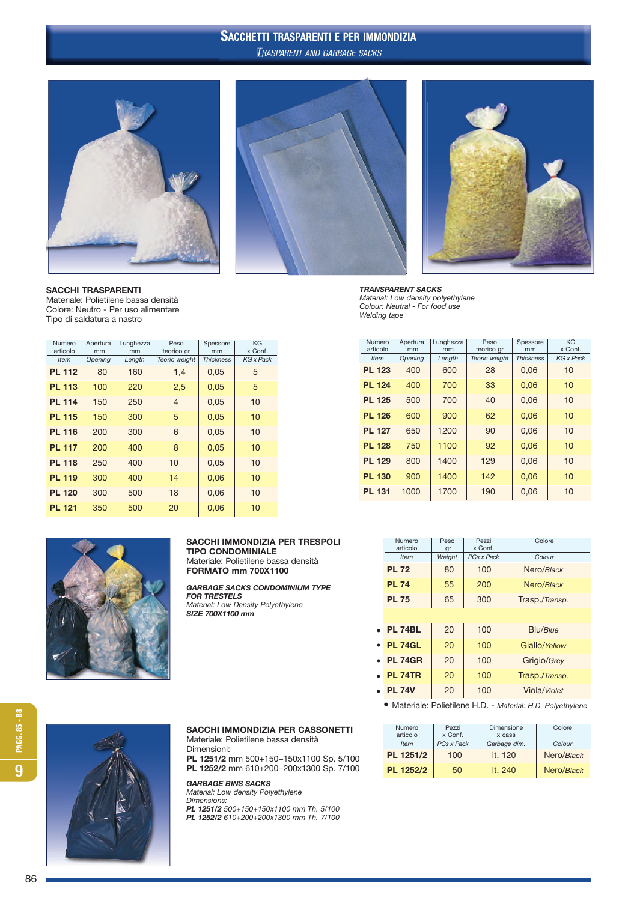# SACCHETTI TRASPARENTI E PER IMMONDIZIA TRASPARENT AND GARBAGE SACKS



SACCHI TRASPARENTI Materiale: Polietilene bassa densità Colore: Neutro - Per uso alimentare Tipo di saldatura a nastro





TRANSPARENT SACKS *Material: Low density polyethylene Colour: Neutral - For food use*

*Welding tape*

| Numero<br>articolo | Apertura<br>mm | Lunghezza<br>mm | Peso<br>teorico gr | Spessore<br>mm   | KG<br>x Conf.    |  |  |
|--------------------|----------------|-----------------|--------------------|------------------|------------------|--|--|
| <b>Item</b>        | Opening        | Length          | Teoric weight      | <b>Thickness</b> | <b>KG</b> x Pack |  |  |
| <b>PL 112</b>      | 80             | 160             | 1,4                | 0,05             | 5                |  |  |
| <b>PL 113</b>      | 100            | 220             | 2,5                | 0,05             | 5                |  |  |
| <b>PL 114</b>      | 150            | 250             | $\overline{4}$     | 0,05             | 10               |  |  |
| <b>PL 115</b>      | 150            | 300             | 5                  | 0,05             | 10               |  |  |
| <b>PL 116</b>      | 200            | 300             | 6                  | 0,05             | 10               |  |  |
| <b>PL 117</b>      | 200            | 400             | 8                  | 0,05             | 10               |  |  |
| <b>PL 118</b>      | 250            | 400             | 10                 | 0,05             | 10               |  |  |

**PL 119** 300 400 14 0.06 10 **PL 120** 300 500 18 0.06 10 **PL 121** 350 500 20 0,06 10



## SACCHI IMMONDIZIA PER TRESPOLI

TIPO CONDOMINIALE Materiale: Polietilene bassa densità FORMATO mm 700X1100

GARBAGE SACKS CONDOMINIUM TYPE FOR TRESTELS *Material: Low Density Polyethylene* SIZE 700X1100 mm

|               | .<br>articolo | $1$ with $4$<br>mm | Lungnozzu<br>mm | teorico gr    | upuuuu<br>mm     | x Conf.          |
|---------------|---------------|--------------------|-----------------|---------------|------------------|------------------|
|               | <b>Item</b>   | Opening            | Length          | Teoric weight | <b>Thickness</b> | <b>KG</b> x Pack |
| <b>PL 123</b> |               | 400                | 600             | 28            | 0,06             | 10               |
|               | <b>PL 124</b> | 400                | 700             | 33            | 0,06             | 10               |
|               | <b>PL 125</b> | 500                | 700             | 40            | 0,06             | 10               |
|               | <b>PL 126</b> | 600                | 900             | 62            | 0,06             | 10               |
|               | <b>PL 127</b> | 650                | 1200            | 90            | 0,06             | 10               |
|               | <b>PL 128</b> | 750                | 1100            | 92            | 0,06             | 10               |
|               | <b>PL 129</b> | 800                | 1400            | 129           | 0,06             | 10               |
|               | <b>PL 130</b> | 900                | 1400            | 142           | 0.06             | 10               |
|               | <b>PL 131</b> | 1000               | 1700            | 190           | 0.06             | 10               |

Numero Apertura Lunghezza Peso Spessore KG

| Numero<br>articolo | Peso<br>gr | Pezzi<br>x Conf. | Colore         |
|--------------------|------------|------------------|----------------|
| <b>Item</b>        | Weight     | PCs x Pack       | Colour         |
| <b>PL 72</b>       | 80         | 100              | Nero/Black     |
| <b>PL 74</b>       | 55         | 200              | Nero/Black     |
| <b>PL 75</b>       | 65         | 300              | Trasp./Transp. |
|                    |            |                  |                |
| <b>PL 74BL</b>     | 20         | 100              | Blu/Blue       |
| <b>PL 74GL</b>     | 20         | 100              | Giallo/Yellow  |
| <b>PL 74GR</b>     | 20         | 100              | Grigio/Grey    |
| <b>PL 74TR</b>     | 20         | 100              | Trasp./Transp. |
| <b>PL 74V</b>      | 20         | 100              | Viola/Violet   |

• Materiale: Polietilene H.D. - *Material: H.D. Polyethylene*

| <b>Numero</b><br>articolo | Pezzi<br>x Conf. | Dimensione<br>x cass | Colore     |
|---------------------------|------------------|----------------------|------------|
| <b>Item</b>               | PCs x Pack       | Garbage dim.         | Colour     |
| PL 1251/2                 | 100              | It. $120$            | Nero/Black |
| PL 1252/2                 | 50               | It. $240$            | Nero/Black |



SACCHI IMMONDIZIA PER CASSONETTI

Materiale: Polietilene bassa densità Dimensioni:

PL 1251/2 mm 500+150+150x1100 Sp. 5/100 PL 1252/2 mm 610+200+200x1300 Sp. 7/100

GARBAGE BINS SACKS

*Material: Low density Polyethylene Dimensions:*

PL 1251/2 *500+150+150x1100 mm Th. 5/100* PL 1252/2 *610+200+200x1300 mm Th. 7/100*

86